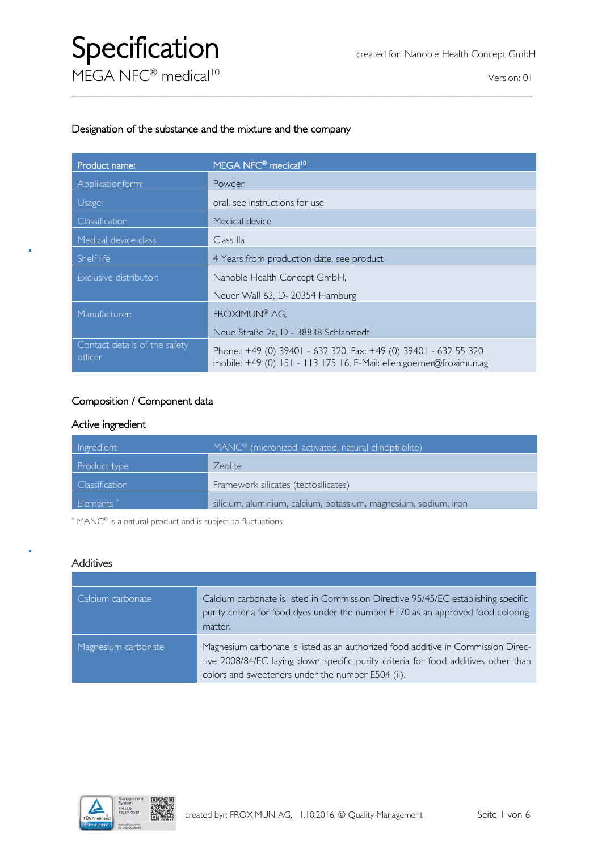#### Designation of the substance and the mixture and the company

| Product name:                            | MEGA NFC® medical <sup>10</sup>                                                                                                         |
|------------------------------------------|-----------------------------------------------------------------------------------------------------------------------------------------|
| Applikationform:                         | Powder                                                                                                                                  |
| Usage:                                   | oral, see instructions for use                                                                                                          |
| Classification                           | Medical device                                                                                                                          |
| Medical device class                     | Class IIa                                                                                                                               |
| Shelf life                               | 4 Years from production date, see product                                                                                               |
| Exclusive distributor:                   | Nanoble Health Concept GmbH,                                                                                                            |
|                                          | Neuer Wall 63, D-20354 Hamburg                                                                                                          |
| Manufacturer:                            | FROXIMUN® AG,                                                                                                                           |
|                                          | Neue Straße 2a, D - 38838 Schlanstedt                                                                                                   |
| Contact details of the safety<br>officer | Phone.: +49 (0) 39401 - 632 320, Fax: +49 (0) 39401 - 632 55 320<br>mobile: +49 (0) 151 - 113 175 16, E-Mail: ellen.goerner@froximun.ag |

 $\_$  , and the set of the set of the set of the set of the set of the set of the set of the set of the set of the set of the set of the set of the set of the set of the set of the set of the set of the set of the set of th

#### Composition / Component data

#### Active ingredient

| Ingredient     | MANC <sup>®</sup> (micronized, activated, natural clinoptilolite) |
|----------------|-------------------------------------------------------------------|
| Product type   | Zeolite                                                           |
| Classification | Framework silicates (tectosilicates)                              |
| Elements*      | silicium, aluminium, calcium, potassium, magnesium, sodium, iron  |

\* MANC® is a natural product and is subject to fluctuations

#### **Additives**

| Calcium carbonate   | Calcium carbonate is listed in Commission Directive 95/45/EC establishing specific<br>purity criteria for food dyes under the number E170 as an approved food coloring<br>matter.                                            |
|---------------------|------------------------------------------------------------------------------------------------------------------------------------------------------------------------------------------------------------------------------|
| Magnesium carbonate | Magnesium carbonate is listed as an authorized food additive in Commission Direc-<br>tive 2008/84/EC laying down specific purity criteria for food additives other than<br>colors and sweeteners under the number E504 (ii). |

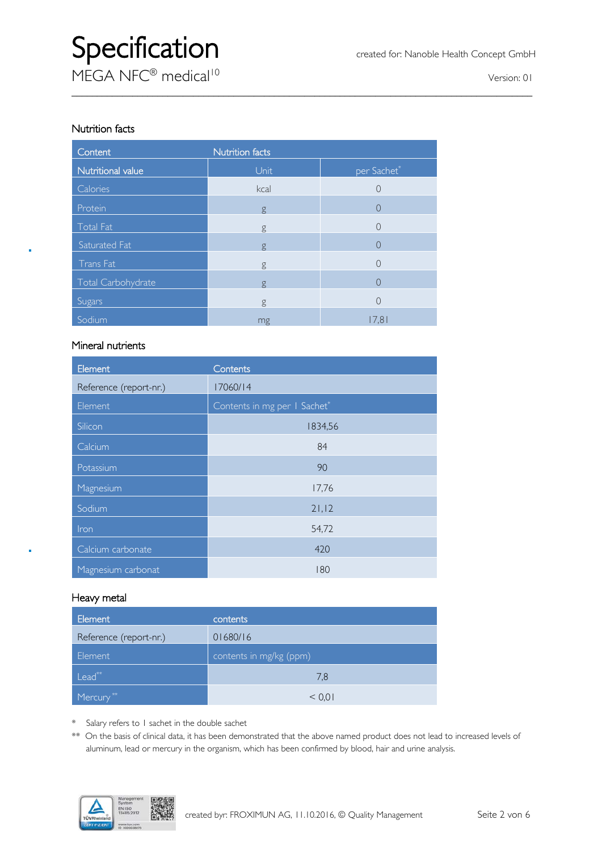# Specification created for: Nanoble Health Concept GmbH

**MEGA NFC<sup>®</sup> medical<sup>10</sup>** version: 01

#### Nutrition facts

| Content            | <b>Nutrition facts</b> |                  |
|--------------------|------------------------|------------------|
| Nutritional value  | Unit                   | per Sachet*      |
| Calories           | kcal                   | 0                |
| Protein            | g                      | $\left( \right)$ |
| <b>Total Fat</b>   | g                      | $\left(\right)$  |
| Saturated Fat      | g                      | $\left( \right)$ |
| Trans Fat          | g                      | 0                |
| Total Carbohydrate | g                      | $\left( \right)$ |
| Sugars             | g                      | 0                |
| Sodium             | mg                     | 17,81            |

 $\_$  , and the set of the set of the set of the set of the set of the set of the set of the set of the set of the set of the set of the set of the set of the set of the set of the set of the set of the set of the set of th

#### Mineral nutrients

| Element                | Contents                     |
|------------------------|------------------------------|
| Reference (report-nr.) | 17060/14                     |
| Element                | Contents in mg per I Sachet* |
| Silicon                | 1834,56                      |
| Calcium                | 84                           |
| Potassium              | 90                           |
| Magnesium              | 17,76                        |
| Sodium                 | 21, 12                       |
| Iron                   | 54,72                        |
| Calcium carbonate      | 420                          |
| Magnesium carbonat     | 180                          |

#### Heavy metal

| Element                | contents                |
|------------------------|-------------------------|
| Reference (report-nr.) | 01680/16                |
| Element                | contents in mg/kg (ppm) |
| Lead**                 | 7.8                     |
| Mercury <sup>**</sup>  | < 0.01                  |

\* Salary refers to 1 sachet in the double sachet

\*\* On the basis of clinical data, it has been demonstrated that the above named product does not lead to increased levels of aluminum, lead or mercury in the organism, which has been confirmed by blood, hair and urine analysis.

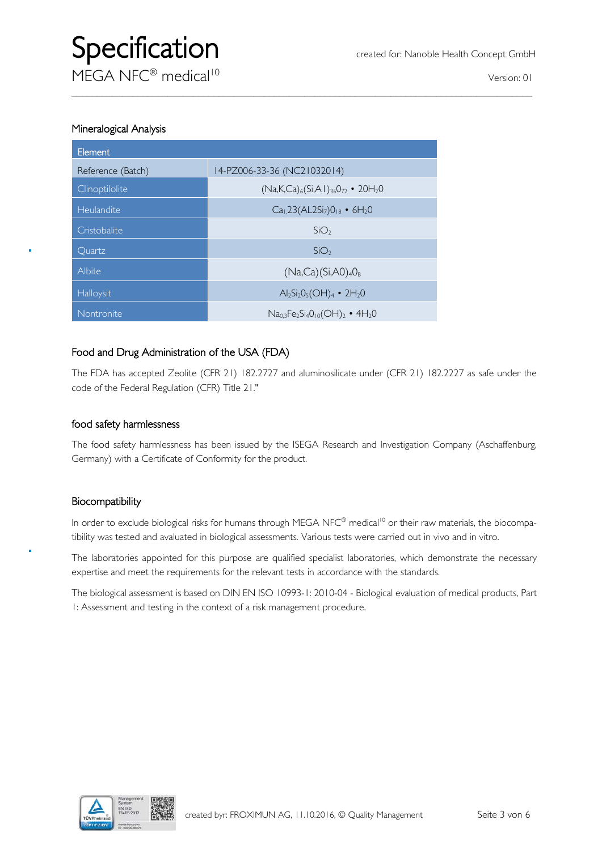#### Mineralogical Analysis

| Element           |                                                                   |
|-------------------|-------------------------------------------------------------------|
| Reference (Batch) | 14-PZ006-33-36 (NC21032014)                                       |
| Clinoptilolite    | $(Na,K,Ca)_{6}(Si,A1)_{36}O_{72}$ • 20H <sub>2</sub> O            |
| Heulandite        | $Ca1$ ,23(AL2Si <sub>7</sub> )0 <sub>18</sub> • 6H <sub>2</sub> 0 |
| Cristobalite      | SiO <sub>2</sub>                                                  |
| Ouartz            | SiO <sub>2</sub>                                                  |
| Albite            | $(Na, Ca)(Si, A0)_4O_8$                                           |
| Halloysit         | $Al_2Si_2O_5(OH)_4$ • 2H <sub>2</sub> O                           |
| Nontronite        | $Na0.3Fe2Si4O10(OH)2 • 4H2O$                                      |

#### Food and Drug Administration of the USA (FDA)

The FDA has accepted Zeolite (CFR 21) 182.2727 and aluminosilicate under (CFR 21) 182.2227 as safe under the code of the Federal Regulation (CFR) Title 21."

 $\_$  , and the set of the set of the set of the set of the set of the set of the set of the set of the set of the set of the set of the set of the set of the set of the set of the set of the set of the set of the set of th

#### food safety harmlessness

The food safety harmlessness has been issued by the ISEGA Research and Investigation Company (Aschaffenburg, Germany) with a Certificate of Conformity for the product.

#### Biocompatibility

In order to exclude biological risks for humans through MEGA NFC® medical<sup>10</sup> or their raw materials, the biocompatibility was tested and avaluated in biological assessments. Various tests were carried out in vivo and in vitro.

The laboratories appointed for this purpose are qualified specialist laboratories, which demonstrate the necessary expertise and meet the requirements for the relevant tests in accordance with the standards.

The biological assessment is based on DIN EN ISO 10993-1: 2010-04 - Biological evaluation of medical products, Part 1: Assessment and testing in the context of a risk management procedure.

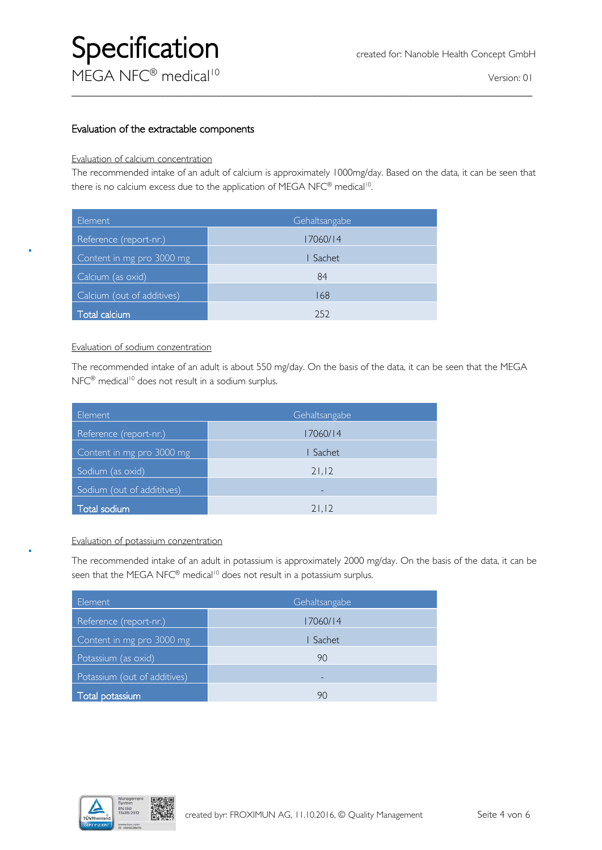## Specification **Calculus** created for: Nanoble Health Concept GmbH MFGA NFC® medical<sup>10</sup> version: 01

### $\_$  , and the set of the set of the set of the set of the set of the set of the set of the set of the set of the set of the set of the set of the set of the set of the set of the set of the set of the set of the set of th

#### Evaluation of the extractable components

#### Evaluation of calcium concentration

The recommended intake of an adult of calcium is approximately 1000mg/day. Based on the data, it can be seen that there is no calcium excess due to the application of MEGA NFC® medical<sup>10</sup>.

| Element                    | Gehaltsangabe |
|----------------------------|---------------|
| Reference (report-nr.)     | 17060/14      |
| Content in mg pro 3000 mg  | I Sachet      |
| Calcium (as oxid)          | 84            |
| Calcium (out of additives) | 168           |
| <b>Total calcium</b>       | 252           |

#### Evaluation of sodium conzentration

The recommended intake of an adult is about 550 mg/day. On the basis of the data, it can be seen that the MEGA NFC<sup>®</sup> medical<sup>10</sup> does not result in a sodium surplus.

| Element                    | Gehaltsangabe |
|----------------------------|---------------|
| Reference (report-nr.)     | 17060/14      |
| Content in mg pro 3000 mg  | I Sachet      |
| Sodium (as oxid)           | 21,12         |
| Sodium (out of addititves) | -             |
| Total sodium               | 21,12         |

#### Evaluation of potassium conzentration

The recommended intake of an adult in potassium is approximately 2000 mg/day. On the basis of the data, it can be seen that the MEGA NFC<sup>®</sup> medical<sup>10</sup> does not result in a potassium surplus.

| Element                      | Gehaltsangabe |
|------------------------------|---------------|
| Reference (report-nr.)       | 17060/14      |
| Content in mg pro 3000 mg    | Sachet        |
| Potassium (as oxid)          | 90            |
| Potassium (out of additives) | -             |
| Total potassium              | 90            |

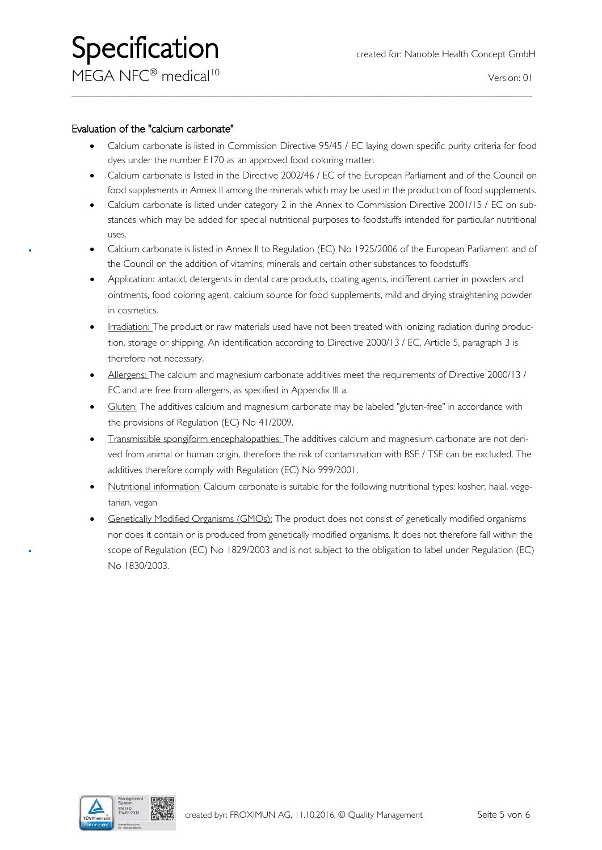$MFGA NFC<sup>®</sup> medical<sup>10</sup>$ 

#### Evaluation of the "calcium carbonate"

• Calcium carbonate is listed in Commission Directive 95/45 / EC laying down specific purity criteria for food dyes under the number E170 as an approved food coloring matter.

 $\_$  , and the set of the set of the set of the set of the set of the set of the set of the set of the set of the set of the set of the set of the set of the set of the set of the set of the set of the set of the set of th

- Calcium carbonate is listed in the Directive 2002/46 / EC of the European Parliament and of the Council on food supplements in Annex II among the minerals which may be used in the production of food supplements.
- Calcium carbonate is listed under category 2 in the Annex to Commission Directive 2001/15 / EC on substances which may be added for special nutritional purposes to foodstuffs intended for particular nutritional uses.
- Calcium carbonate is listed in Annex II to Regulation (EC) No 1925/2006 of the European Parliament and of the Council on the addition of vitamins, minerals and certain other substances to foodstuffs
- Application: antacid, detergents in dental care products, coating agents, indifferent carrier in powders and ointments, food coloring agent, calcium source for food supplements, mild and drying straightening powder in cosmetics.
- Irradiation: The product or raw materials used have not been treated with ionizing radiation during production, storage or shipping. An identification according to Directive 2000/13 / EC, Article 5, paragraph 3 is therefore not necessary.
- Allergens: The calcium and magnesium carbonate additives meet the requirements of Directive 2000/13 / EC and are free from allergens, as specified in Appendix III a.
- Gluten: The additives calcium and magnesium carbonate may be labeled "gluten-free" in accordance with the provisions of Regulation (EC) No 41/2009.
- Transmissible spongiform encephalopathies: The additives calcium and magnesium carbonate are not derived from animal or human origin, therefore the risk of contamination with BSE / TSE can be excluded. The additives therefore comply with Regulation (EC) No 999/2001.
- Nutritional information: Calcium carbonate is suitable for the following nutritional types: kosher, halal, vegetarian, vegan
- Genetically Modified Organisms (GMOs): The product does not consist of genetically modified organisms nor does it contain or is produced from genetically modified organisms. It does not therefore fall within the scope of Regulation (EC) No 1829/2003 and is not subject to the obligation to label under Regulation (EC) No 1830/2003.